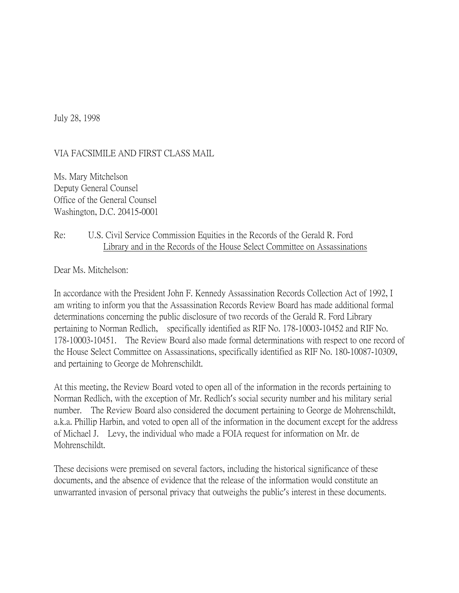July 28, 1998

VIA FACSIMILE AND FIRST CLASS MAIL

Ms. Mary Mitchelson Deputy General Counsel Office of the General Counsel Washington, D.C. 20415-0001

## Re: U.S. Civil Service Commission Equities in the Records of the Gerald R. Ford Library and in the Records of the House Select Committee on Assassinations

Dear Ms. Mitchelson:

In accordance with the President John F. Kennedy Assassination Records Collection Act of 1992, I am writing to inform you that the Assassination Records Review Board has made additional formal determinations concerning the public disclosure of two records of the Gerald R. Ford Library pertaining to Norman Redlich, specifically identified as RIF No. 178-10003-10452 and RIF No. 178-10003-10451. The Review Board also made formal determinations with respect to one record of the House Select Committee on Assassinations, specifically identified as RIF No. 180-10087-10309, and pertaining to George de Mohrenschildt.

At this meeting, the Review Board voted to open all of the information in the records pertaining to Norman Redlich, with the exception of Mr. Redlich's social security number and his military serial number. The Review Board also considered the document pertaining to George de Mohrenschildt, a.k.a. Phillip Harbin, and voted to open all of the information in the document except for the address of Michael J. Levy, the individual who made a FOIA request for information on Mr. de Mohrenschildt.

These decisions were premised on several factors, including the historical significance of these documents, and the absence of evidence that the release of the information would constitute an unwarranted invasion of personal privacy that outweighs the public's interest in these documents.